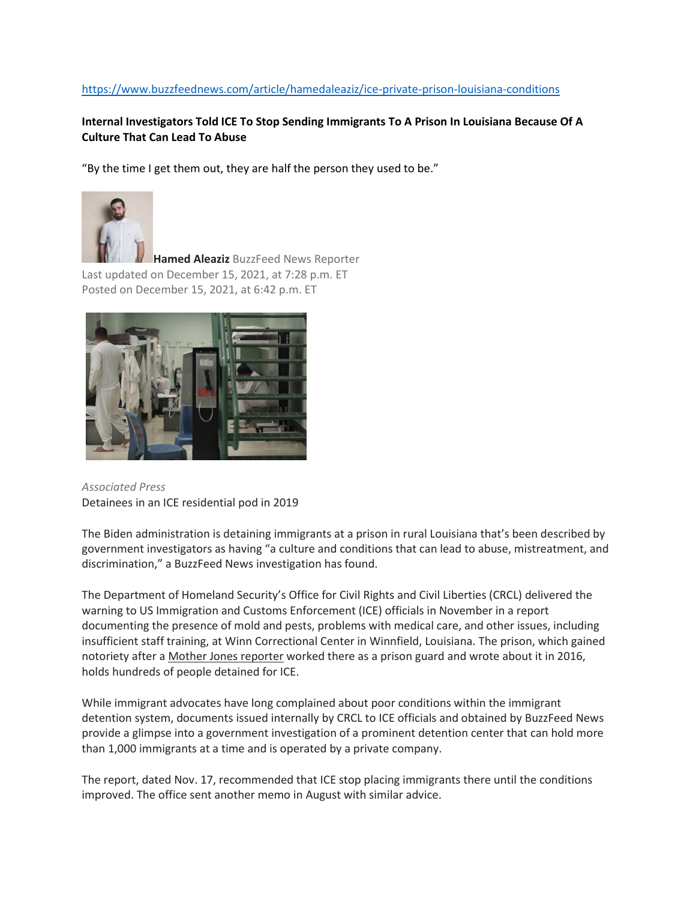## https://www.buzzfeednews.com/article/hamedaleaziz/ice-private-prison-louisiana-conditions

## **Internal Investigators Told ICE To Stop Sending Immigrants To A Prison In Louisiana Because Of A Culture That Can Lead To Abuse**

"By the time I get them out, they are half the person they used to be."



**Hamed Aleaziz** [BuzzFeed News Reporter](about:blank) Last updated on December 15, 2021, at 7:28 p.m. ET Posted on December 15, 2021, at 6:42 p.m. ET



*Associated Press* Detainees in an ICE residential pod in 2019

The Biden administration is detaining immigrants at a prison in rural Louisiana that's been described by government investigators as having "a culture and conditions that can lead to abuse, mistreatment, and discrimination," a BuzzFeed News investigation has found.

The Department of Homeland Security's Office for Civil Rights and Civil Liberties (CRCL) delivered the warning to US Immigration and Customs Enforcement (ICE) officials in November in a report documenting the presence of mold and pests, problems with medical care, and other issues, including insufficient staff training, at Winn Correctional Center in Winnfield, Louisiana. The prison, which gained notoriety after a [Mother Jones reporter](about:blank) worked there as a prison guard and wrote about it in 2016, holds hundreds of people detained for ICE.

While immigrant advocates have long complained about poor conditions within the immigrant detention system, documents issued internally by CRCL to ICE officials and obtained by BuzzFeed News provide a glimpse into a government investigation of a prominent detention center that can hold more than 1,000 immigrants at a time and is operated by a private company.

The report, dated Nov. 17, recommended that ICE stop placing immigrants there until the conditions improved. The office sent another memo in August with similar advice.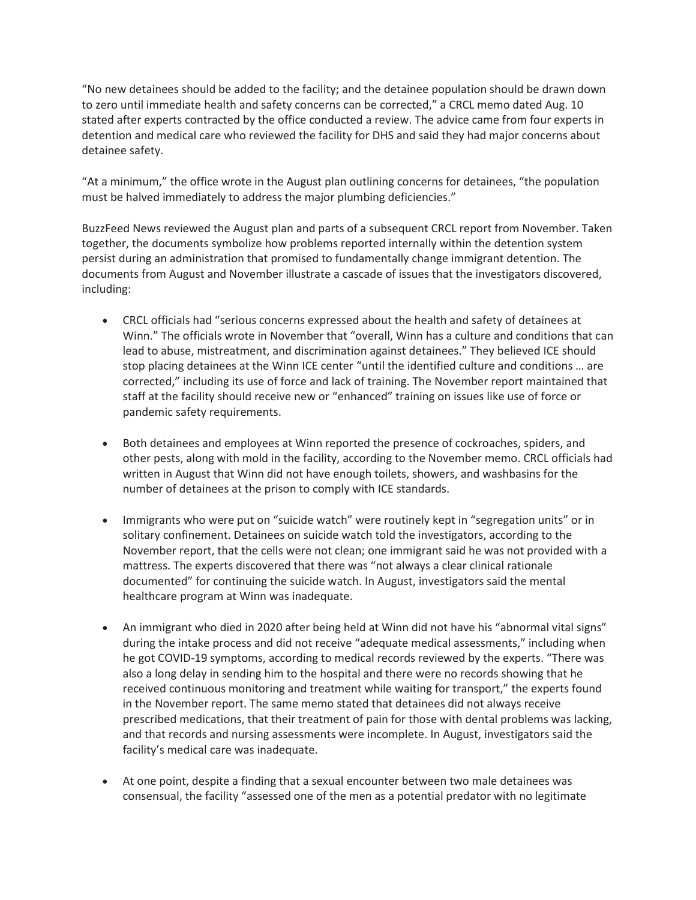"No new detainees should be added to the facility; and the detainee population should be drawn down to zero until immediate health and safety concerns can be corrected," a CRCL memo dated Aug. 10 stated after experts contracted by the office conducted a review. The advice came from four experts in detention and medical care who reviewed the facility for DHS and said they had major concerns about detainee safety.

"At a minimum," the office wrote in the August plan outlining concerns for detainees, "the population must be halved immediately to address the major plumbing deficiencies."

BuzzFeed News reviewed the August plan and parts of a subsequent CRCL report from November. Taken together, the documents symbolize how problems reported internally within the detention system persist during an administration that promised to fundamentally change immigrant detention. The documents from August and November illustrate a cascade of issues that the investigators discovered, including:

- CRCL officials had "serious concerns expressed about the health and safety of detainees at Winn." The officials wrote in November that "overall, Winn has a culture and conditions that can lead to abuse, mistreatment, and discrimination against detainees." They believed ICE should stop placing detainees at the Winn ICE center "until the identified culture and conditions … are corrected," including its use of force and lack of training. The November report maintained that staff at the facility should receive new or "enhanced" training on issues like use of force or pandemic safety requirements.
- Both detainees and employees at Winn reported the presence of cockroaches, spiders, and other pests, along with mold in the facility, according to the November memo. CRCL officials had written in August that Winn did not have enough toilets, showers, and washbasins for the number of detainees at the prison to comply with ICE standards.
- Immigrants who were put on "suicide watch" were routinely kept in "segregation units" or in solitary confinement. Detainees on suicide watch told the investigators, according to the November report, that the cells were not clean; one immigrant said he was not provided with a mattress. The experts discovered that there was "not always a clear clinical rationale documented" for continuing the suicide watch. In August, investigators said the mental healthcare program at Winn was inadequate.
- An immigrant who died in 2020 after being held at Winn did not have his "abnormal vital signs" during the intake process and did not receive "adequate medical assessments," including when he got COVID-19 symptoms, according to medical records reviewed by the experts. "There was also a long delay in sending him to the hospital and there were no records showing that he received continuous monitoring and treatment while waiting for transport," the experts found in the November report. The same memo stated that detainees did not always receive prescribed medications, that their treatment of pain for those with dental problems was lacking, and that records and nursing assessments were incomplete. In August, investigators said the facility's medical care was inadequate.
- At one point, despite a finding that a sexual encounter between two male detainees was consensual, the facility "assessed one of the men as a potential predator with no legitimate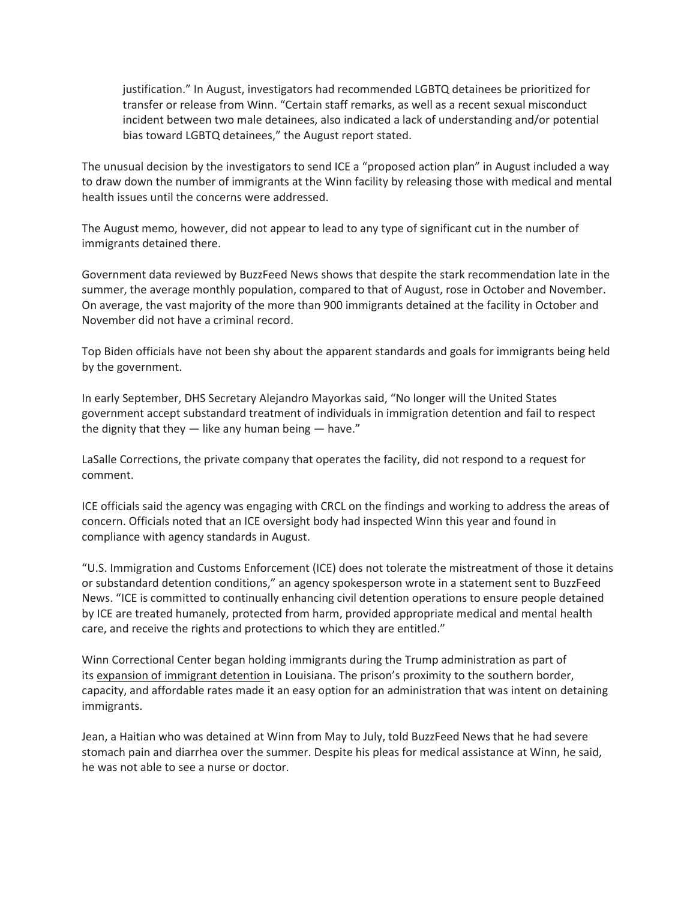justification." In August, investigators had recommended LGBTQ detainees be prioritized for transfer or release from Winn. "Certain staff remarks, as well as a recent sexual misconduct incident between two male detainees, also indicated a lack of understanding and/or potential bias toward LGBTQ detainees," the August report stated.

The unusual decision by the investigators to send ICE a "proposed action plan" in August included a way to draw down the number of immigrants at the Winn facility by releasing those with medical and mental health issues until the concerns were addressed.

The August memo, however, did not appear to lead to any type of significant cut in the number of immigrants detained there.

Government data reviewed by BuzzFeed News shows that despite the stark recommendation late in the summer, the average monthly population, compared to that of August, rose in October and November. On average, the vast majority of the more than 900 immigrants detained at the facility in October and November did not have a criminal record.

Top Biden officials have not been shy about the apparent standards and goals for immigrants being held by the government.

In early September, DHS Secretary Alejandro Mayorkas said, "No longer will the United States government accept substandard treatment of individuals in immigration detention and fail to respect the dignity that they  $-$  like any human being  $-$  have."

LaSalle Corrections, the private company that operates the facility, did not respond to a request for comment.

ICE officials said the agency was engaging with CRCL on the findings and working to address the areas of concern. Officials noted that an ICE oversight body had inspected Winn this year and found in compliance with agency standards in August.

"U.S. Immigration and Customs Enforcement (ICE) does not tolerate the mistreatment of those it detains or substandard detention conditions," an agency spokesperson wrote in a statement sent to BuzzFeed News. "ICE is committed to continually enhancing civil detention operations to ensure people detained by ICE are treated humanely, protected from harm, provided appropriate medical and mental health care, and receive the rights and protections to which they are entitled."

Winn Correctional Center began holding immigrants during the Trump administration as part of its [expansion of immigrant detention](about:blank) in Louisiana. The prison's proximity to the southern border, capacity, and affordable rates made it an easy option for an administration that was intent on detaining immigrants.

Jean, a Haitian who was detained at Winn from May to July, told BuzzFeed News that he had severe stomach pain and diarrhea over the summer. Despite his pleas for medical assistance at Winn, he said, he was not able to see a nurse or doctor.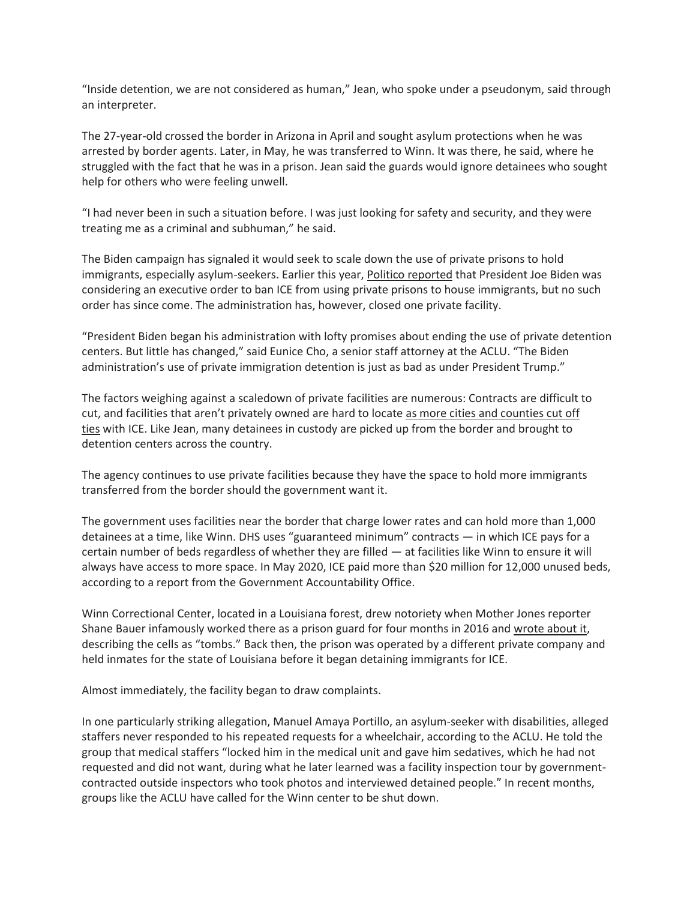"Inside detention, we are not considered as human," Jean, who spoke under a pseudonym, said through an interpreter.

The 27-year-old crossed the border in Arizona in April and sought asylum protections when he was arrested by border agents. Later, in May, he was transferred to Winn. It was there, he said, where he struggled with the fact that he was in a prison. Jean said the guards would ignore detainees who sought help for others who were feeling unwell.

"I had never been in such a situation before. I was just looking for safety and security, and they were treating me as a criminal and subhuman," he said.

The Biden campaign has signaled it would seek to scale down the use of private prisons to hold immigrants, especially asylum-seekers. Earlier this year, [Politico reported](about:blank) that President Joe Biden was considering an executive order to ban ICE from using private prisons to house immigrants, but no such order has since come. The administration has, however, closed one private facility.

"President Biden began his administration with lofty promises about ending the use of private detention centers. But little has changed," said Eunice Cho, a senior staff attorney at the ACLU. "The Biden administration's use of private immigration detention is just as bad as under President Trump."

The factors weighing against a scaledown of private facilities are numerous: Contracts are difficult to cut, and facilities that aren't privately owned are hard to locate [as more cities and counties cut off](about:blank)  [ties](about:blank) with ICE. Like Jean, many detainees in custody are picked up from the border and brought to detention centers across the country.

The agency continues to use private facilities because they have the space to hold more immigrants transferred from the border should the government want it.

The government uses facilities near the border that charge lower rates and can hold more than 1,000 detainees at a time, like Winn. DHS uses "guaranteed minimum" contracts — in which ICE pays for a certain number of beds regardless of whether they are filled — at facilities like Winn to ensure it will always have access to more space. In May 2020, ICE paid more than \$20 million for 12,000 unused beds, according to a report from the Government Accountability Office.

Winn Correctional Center, located in a Louisiana forest, drew notoriety when Mother Jones reporter Shane Bauer infamously worked there as a prison guard for four months in 2016 and [wrote about it,](about:blank) describing the cells as "tombs." Back then, the prison was operated by a different private company and held inmates for the state of Louisiana before it began detaining immigrants for ICE.

Almost immediately, the facility began to draw complaints.

In one particularly striking allegation, Manuel Amaya Portillo, an asylum-seeker with disabilities, alleged staffers never responded to his repeated requests for a wheelchair, according to the ACLU. He told the group that medical staffers "locked him in the medical unit and gave him sedatives, which he had not requested and did not want, during what he later learned was a facility inspection tour by governmentcontracted outside inspectors who took photos and interviewed detained people." In recent months, groups like the ACLU have called for the Winn center to be shut down.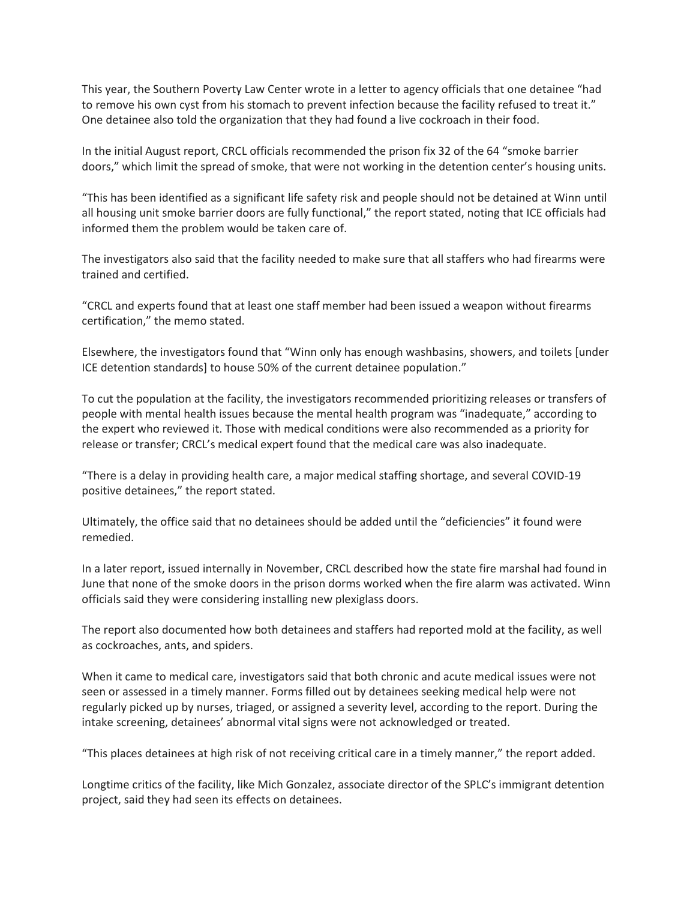This year, the Southern Poverty Law Center wrote in a letter to agency officials that one detainee "had to remove his own cyst from his stomach to prevent infection because the facility refused to treat it." One detainee also told the organization that they had found a live cockroach in their food.

In the initial August report, CRCL officials recommended the prison fix 32 of the 64 "smoke barrier doors," which limit the spread of smoke, that were not working in the detention center's housing units.

"This has been identified as a significant life safety risk and people should not be detained at Winn until all housing unit smoke barrier doors are fully functional," the report stated, noting that ICE officials had informed them the problem would be taken care of.

The investigators also said that the facility needed to make sure that all staffers who had firearms were trained and certified.

"CRCL and experts found that at least one staff member had been issued a weapon without firearms certification," the memo stated.

Elsewhere, the investigators found that "Winn only has enough washbasins, showers, and toilets [under ICE detention standards] to house 50% of the current detainee population."

To cut the population at the facility, the investigators recommended prioritizing releases or transfers of people with mental health issues because the mental health program was "inadequate," according to the expert who reviewed it. Those with medical conditions were also recommended as a priority for release or transfer; CRCL's medical expert found that the medical care was also inadequate.

"There is a delay in providing health care, a major medical staffing shortage, and several COVID-19 positive detainees," the report stated.

Ultimately, the office said that no detainees should be added until the "deficiencies" it found were remedied.

In a later report, issued internally in November, CRCL described how the state fire marshal had found in June that none of the smoke doors in the prison dorms worked when the fire alarm was activated. Winn officials said they were considering installing new plexiglass doors.

The report also documented how both detainees and staffers had reported mold at the facility, as well as cockroaches, ants, and spiders.

When it came to medical care, investigators said that both chronic and acute medical issues were not seen or assessed in a timely manner. Forms filled out by detainees seeking medical help were not regularly picked up by nurses, triaged, or assigned a severity level, according to the report. During the intake screening, detainees' abnormal vital signs were not acknowledged or treated.

"This places detainees at high risk of not receiving critical care in a timely manner," the report added.

Longtime critics of the facility, like Mich Gonzalez, associate director of the SPLC's immigrant detention project, said they had seen its effects on detainees.